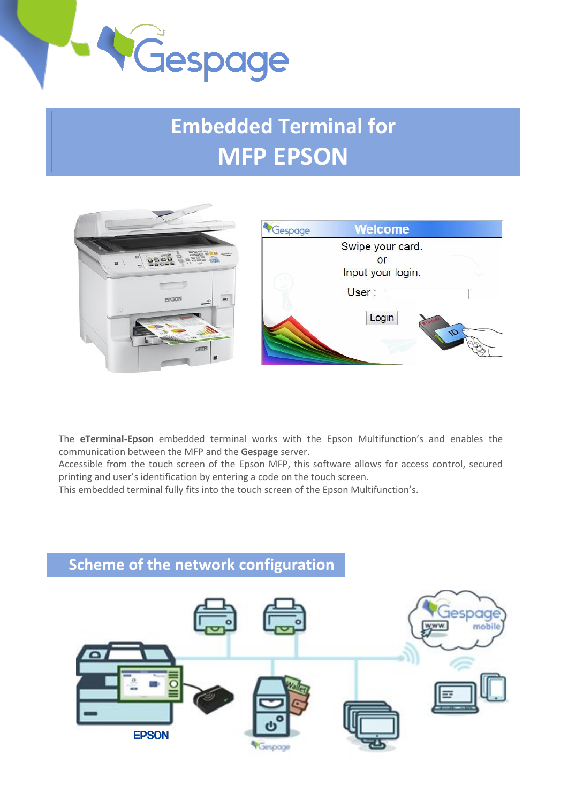

## **Embedded Terminal for MFP EPSON**



The **eTerminal-Epson** embedded terminal works with the Epson Multifunction's and enables the communication between the MFP and the **Gespage** server.

Accessible from the touch screen of the Epson MFP, this software allows for access control, secured printing and user's identification by entering a code on the touch screen.

This embedded terminal fully fits into the touch screen of the Epson Multifunction's.

# **Scheme of the network configuration Jespac EPSON** Gespage